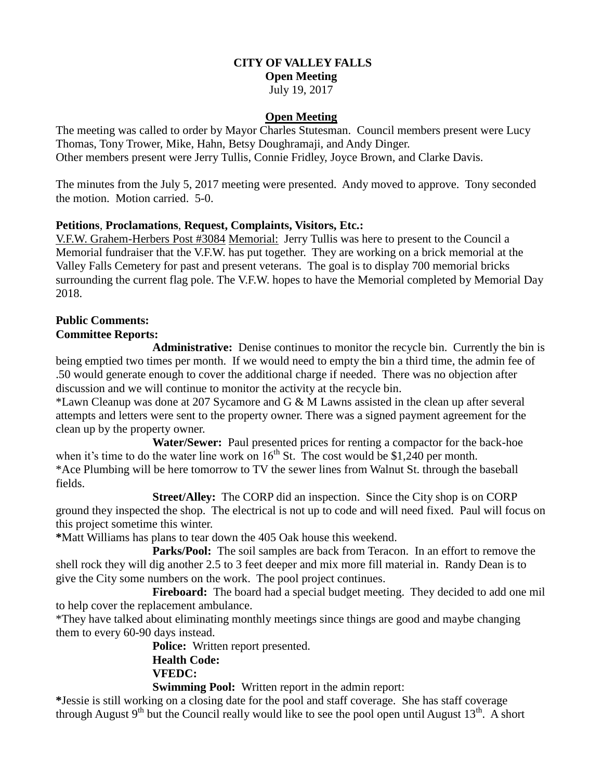# **CITY OF VALLEY FALLS Open Meeting**

### July 19, 2017

### **Open Meeting**

The meeting was called to order by Mayor Charles Stutesman. Council members present were Lucy Thomas, Tony Trower, Mike, Hahn, Betsy Doughramaji, and Andy Dinger. Other members present were Jerry Tullis, Connie Fridley, Joyce Brown, and Clarke Davis.

The minutes from the July 5, 2017 meeting were presented. Andy moved to approve. Tony seconded the motion. Motion carried. 5-0.

### **Petitions**, **Proclamations**, **Request, Complaints, Visitors, Etc.:**

V.F.W. Grahem-Herbers Post #3084 Memorial: Jerry Tullis was here to present to the Council a Memorial fundraiser that the V.F.W. has put together. They are working on a brick memorial at the Valley Falls Cemetery for past and present veterans. The goal is to display 700 memorial bricks surrounding the current flag pole. The V.F.W. hopes to have the Memorial completed by Memorial Day 2018.

#### **Public Comments: Committee Reports:**

# **Administrative:** Denise continues to monitor the recycle bin. Currently the bin is being emptied two times per month. If we would need to empty the bin a third time, the admin fee of .50 would generate enough to cover the additional charge if needed. There was no objection after discussion and we will continue to monitor the activity at the recycle bin.

\*Lawn Cleanup was done at 207 Sycamore and G & M Lawns assisted in the clean up after several attempts and letters were sent to the property owner. There was a signed payment agreement for the clean up by the property owner.

**Water/Sewer:** Paul presented prices for renting a compactor for the back-hoe when it's time to do the water line work on  $16^{th}$  St. The cost would be \$1,240 per month. \*Ace Plumbing will be here tomorrow to TV the sewer lines from Walnut St. through the baseball fields.

**Street/Alley:** The CORP did an inspection. Since the City shop is on CORP ground they inspected the shop. The electrical is not up to code and will need fixed. Paul will focus on this project sometime this winter.

**\***Matt Williams has plans to tear down the 405 Oak house this weekend.

 **Parks/Pool:** The soil samples are back from Teracon. In an effort to remove the shell rock they will dig another 2.5 to 3 feet deeper and mix more fill material in. Randy Dean is to give the City some numbers on the work. The pool project continues.

**Fireboard:** The board had a special budget meeting. They decided to add one mil to help cover the replacement ambulance.

\*They have talked about eliminating monthly meetings since things are good and maybe changing them to every 60-90 days instead.

> **Police:** Written report presented. **Health Code: VFEDC:**

**Swimming Pool:** Written report in the admin report:

**\***Jessie is still working on a closing date for the pool and staff coverage. She has staff coverage through August  $9<sup>th</sup>$  but the Council really would like to see the pool open until August  $13<sup>th</sup>$ . A short